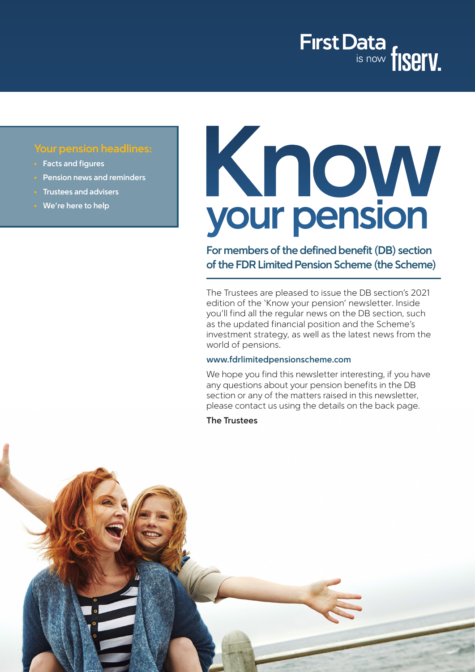

# **Your pension headlines:**

- **• Facts and figures**
- **• Pension news and reminders**
- **• Trustees and advisers**
- **• We're here to help**

# Know<br>your pension

**For members of the defined benefit (DB) section of the FDR Limited Pension Scheme (the Scheme)**

The Trustees are pleased to issue the DB section's 2021 edition of the 'Know your pension' newsletter. Inside you'll find all the regular news on the DB section, such as the updated financial position and the Scheme's investment strategy, as well as the latest news from the world of pensions.

#### **www.fdrlimitedpensionscheme.com**

We hope you find this newsletter interesting, if you have any questions about your pension benefits in the DB section or any of the matters raised in this newsletter, please contact us using the details on the back page.

**The Trustees**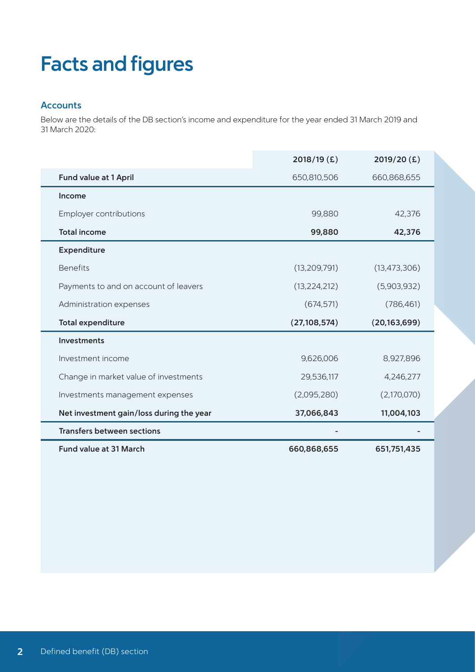# **Facts and figures**

## **Accounts**

Below are the details of the DB section's income and expenditure for the year ended 31 March 2019 and 31 March 2020:

|                                          | 2018/19 (£)    | 2019/20(£)     |
|------------------------------------------|----------------|----------------|
| <b>Fund value at 1 April</b>             | 650,810,506    | 660,868,655    |
| Income                                   |                |                |
| Employer contributions                   | 99,880         | 42,376         |
| <b>Total income</b>                      | 99,880         | 42,376         |
| Expenditure                              |                |                |
| <b>Benefits</b>                          | (13, 209, 791) | (13, 473, 306) |
| Payments to and on account of leavers    | (13, 224, 212) | (5,903,932)    |
| Administration expenses                  | (674, 571)     | (786, 461)     |
| <b>Total expenditure</b>                 | (27, 108, 574) | (20, 163, 699) |
| <b>Investments</b>                       |                |                |
| Investment income                        | 9,626,006      | 8,927,896      |
| Change in market value of investments    | 29,536,117     | 4,246,277      |
| Investments management expenses          | (2,095,280)    | (2,170,070)    |
| Net investment gain/loss during the year | 37,066,843     | 11,004,103     |
| <b>Transfers between sections</b>        |                |                |
| <b>Fund value at 31 March</b>            | 660,868,655    | 651,751,435    |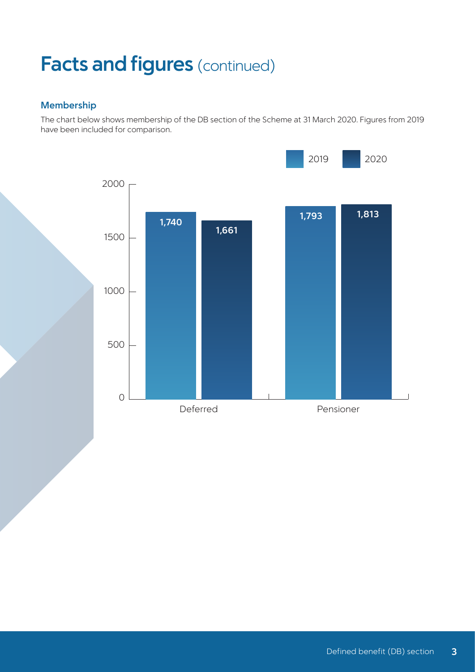# **Facts and figures** (continued)

# **Membership**

The chart below shows membership of the DB section of the Scheme at 31 March 2020. Figures from 2019 have been included for comparison.

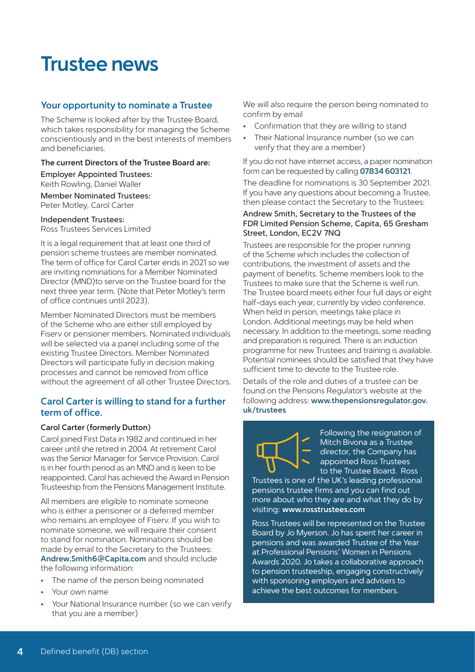# **Trustee news**

### **Your opportunity to nominate a Trustee**

The Scheme is looked after by the Trustee Board, which takes responsibility for managing the Scheme conscientiously and in the best interests of members and beneficiaries.

#### **The current Directors of the Trustee Board are:**

Employer Appointed Trustees: Keith Rowling, Daniel Waller

Member Nominated Trustees: Peter Motley, Carol Carter

#### Independent Trustees:

Ross Trustees Services Limited

It is a legal requirement that at least one third of pension scheme trustees are member nominated. The term of office for Carol Carter ends in 2021 so we are inviting nominations for a Member Nominated Director (MND)to serve on the Trustee board for the next three year term. (Note that Peter Motley's term of office continues until 2023).

Member Nominated Directors must be members of the Scheme who are either still employed by Fiserv or pensioner members. Nominated individuals will be selected via a panel including some of the existing Trustee Directors. Member Nominated Directors will participate fully in decision making processes and cannot be removed from office without the agreement of all other Trustee Directors.

#### **Carol Carter is willing to stand for a further term of office.**

#### **Carol Carter (formerly Dutton)**

Carol joined First Data in 1982 and continued in her career until she retired in 2004. At retirement Carol was the Senior Manager for Service Provision. Carol is in her fourth period as an MND and is keen to be reappointed. Carol has achieved the Award in Pension Trusteeship from the Pensions Management Institute.

All members are eligible to nominate someone who is either a pensioner or a deferred member who remains an employee of Fiserv. If you wish to nominate someone, we will require their consent to stand for nomination. Nominations should be made by email to the Secretary to the Trustees: **Andrew.Smith6@Capita.com** and should include the following information:

- The name of the person being nominated
- Your own name
- Your National Insurance number (so we can verify that you are a member)

We will also require the person being nominated to confirm by email

- Confirmation that they are willing to stand
- Their National Insurance number (so we can verify that they are a member)

If you do not have internet access, a paper nomination form can be requested by calling **07834 603121**. The deadline for nominations is 30 September 2021. If you have any questions about becoming a Trustee, then please contact the Secretary to the Trustees:

#### Andrew Smith, Secretary to the Trustees of the FDR Limited Pension Scheme, Capita, 65 Gresham Street, London, EC2V 7NQ

Trustees are responsible for the proper running of the Scheme which includes the collection of contributions, the investment of assets and the payment of benefits. Scheme members look to the Trustees to make sure that the Scheme is well run. The Trustee board meets either four full days or eight half-days each year, currently by video conference. When held in person, meetings take place in London. Additional meetings may be held when necessary. In addition to the meetings, some reading and preparation is required. There is an induction programme for new Trustees and training is available. Potential nominees should be satisfied that they have sufficient time to devote to the Trustee role.

Details of the role and duties of a trustee can be found on the Pensions Regulator's website at the following address: **[www.thepensionsregulator.gov.](http://www.thepensionsregulator.gov.uk/trustees ) [uk/trustees](http://www.thepensionsregulator.gov.uk/trustees )**

Following the resignation of Mitch Bivona as a Trustee director, the Company has appointed Ross Trustees to the Trustee Board. Ross

Trustees is one of the UK's leading professional pensions trustee firms and you can find out more about who they are and what they do by visiting: **www.rosstrustees.com**

Ross Trustees will be represented on the Trustee Board by Jo Myerson. Jo has spent her career in pensions and was awarded Trustee of the Year at Professional Pensions' Women in Pensions Awards 2020. Jo takes a collaborative approach to pension trusteeship, engaging constructively with sponsoring employers and advisers to achieve the best outcomes for members.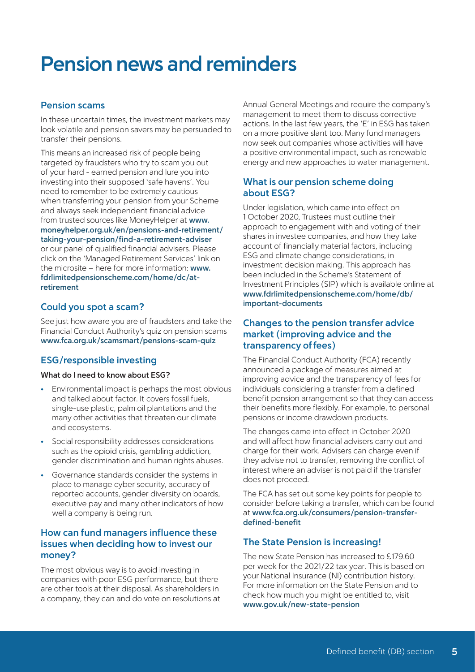# **Pension news and reminders**

### **Pension scams**

In these uncertain times, the investment markets may look volatile and pension savers may be persuaded to transfer their pensions.

This means an increased risk of people being targeted by fraudsters who try to scam you out of your hard - earned pension and lure you into investing into their supposed 'safe havens'. You need to remember to be extremely cautious when transferring your pension from your Scheme and always seek independent financial advice from trusted sources like MoneyHelper at **[www.](http://www.moneyhelper.org.uk/en/pensions-and-retirement/taking-your-pension/find-a-retirement-adviser) [moneyhelper.org.uk/en/pensions-and-retirement/](http://www.moneyhelper.org.uk/en/pensions-and-retirement/taking-your-pension/find-a-retirement-adviser) [taking-your-pension/find-a-retirement-adviser](http://www.moneyhelper.org.uk/en/pensions-and-retirement/taking-your-pension/find-a-retirement-adviser)** or our panel of qualified financial advisers. Please click on the 'Managed Retirement Services' link on the microsite – here for more information: **[www.](http://www.fdrlimitedpensionscheme.com/home/dc/at-retirement
) [fdrlimitedpensionscheme.com/home/dc/at](http://www.fdrlimitedpensionscheme.com/home/dc/at-retirement
)[retirement](http://www.fdrlimitedpensionscheme.com/home/dc/at-retirement
)**

## **Could you spot a scam?**

See just how aware you are of fraudsters and take the Financial Conduct Authority's quiz on pension scams **www.fca.org.uk/scamsmart/pensions-scam-quiz**

# **ESG/responsible investing**

#### **What do I need to know about ESG?**

- Environmental impact is perhaps the most obvious and talked about factor. It covers fossil fuels, single-use plastic, palm oil plantations and the many other activities that threaten our climate and ecosystems.
- Social responsibility addresses considerations such as the opioid crisis, gambling addiction, gender discrimination and human rights abuses.
- Governance standards consider the systems in place to manage cyber security, accuracy of reported accounts, gender diversity on boards, executive pay and many other indicators of how well a company is being run.

## **How can fund managers influence these issues when deciding how to invest our money?**

The most obvious way is to avoid investing in companies with poor ESG performance, but there are other tools at their disposal. As shareholders in a company, they can and do vote on resolutions at

Annual General Meetings and require the company's management to meet them to discuss corrective actions. In the last few years, the 'E' in ESG has taken on a more positive slant too. Many fund managers now seek out companies whose activities will have a positive environmental impact, such as renewable energy and new approaches to water management.

## **What is our pension scheme doing about ESG?**

Under legislation, which came into effect on 1 October 2020, Trustees must outline their approach to engagement with and voting of their shares in investee companies, and how they take account of financially material factors, including ESG and climate change considerations, in investment decision making. This approach has been included in the Scheme's Statement of Investment Principles (SIP) which is available online at **[www.fdrlimitedpensionscheme.com/home/db/](http://www.fdrlimitedpensionscheme.com/home/db/important-documents) [important-documents](http://www.fdrlimitedpensionscheme.com/home/db/important-documents)**

## **Changes to the pension transfer advice market (improving advice and the transparency of fees)**

The Financial Conduct Authority (FCA) recently announced a package of measures aimed at improving advice and the transparency of fees for individuals considering a transfer from a defined benefit pension arrangement so that they can access their benefits more flexibly. For example, to personal pensions or income drawdown products.

The changes came into effect in October 2020 and will affect how financial advisers carry out and charge for their work. Advisers can charge even if they advise not to transfer, removing the conflict of interest where an adviser is not paid if the transfer does not proceed.

The FCA has set out some key points for people to consider before taking a transfer, which can be found at **www.fca.org.uk/consumers/pension-transferdefined-benefit**

# **The State Pension is increasing!**

The new State Pension has increased to £179.60 per week for the 2021/22 tax year. This is based on your National Insurance (NI) contribution history. For more information on the State Pension and to check how much you might be entitled to, visit **www.gov.uk/new-state-pension**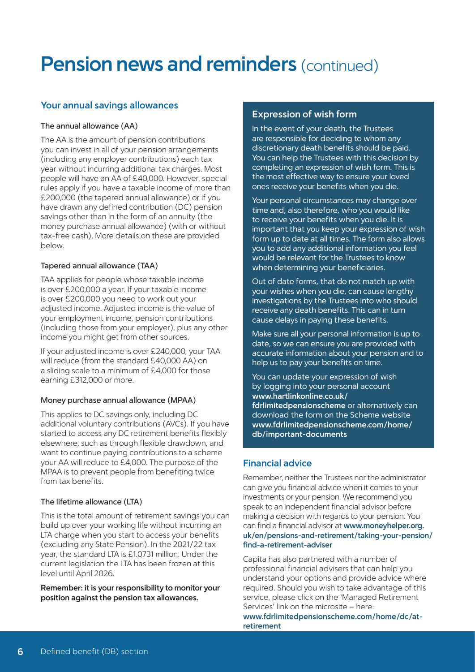# **Pension news and reminders (continued)**

## **Your annual savings allowances**

#### The annual allowance (AA)

The AA is the amount of pension contributions you can invest in all of your pension arrangements (including any employer contributions) each tax year without incurring additional tax charges. Most people will have an AA of £40,000. However, special rules apply if you have a taxable income of more than £200,000 (the tapered annual allowance) or if you have drawn any defined contribution (DC) pension savings other than in the form of an annuity (the money purchase annual allowance) (with or without tax-free cash). More details on these are provided below.

#### Tapered annual allowance (TAA)

TAA applies for people whose taxable income is over £200,000 a year. If your taxable income is over £200,000 you need to work out your adjusted income. Adjusted income is the value of your employment income, pension contributions (including those from your employer), plus any other income you might get from other sources.

If your adjusted income is over £240,000, your TAA will reduce (from the standard £40,000 AA) on a sliding scale to a minimum of £4,000 for those earning £312,000 or more.

#### Money purchase annual allowance (MPAA)

This applies to DC savings only, including DC additional voluntary contributions (AVCs). If you have started to access any DC retirement benefits flexibly elsewhere, such as through flexible drawdown, and want to continue paying contributions to a scheme your AA will reduce to £4,000. The purpose of the MPAA is to prevent people from benefiting twice from tax benefits.

#### The lifetime allowance (LTA)

This is the total amount of retirement savings you can build up over your working life without incurring an LTA charge when you start to access your benefits (excluding any State Pension). In the 2021/22 tax year, the standard LTA is £1.0731 million. Under the current legislation the LTA has been frozen at this level until April 2026.

**Remember: it is your responsibility to monitor your position against the pension tax allowances.**

### **Expression of wish form**

In the event of your death, the Trustees are responsible for deciding to whom any discretionary death benefits should be paid. You can help the Trustees with this decision by completing an expression of wish form. This is the most effective way to ensure your loved ones receive your benefits when you die.

Your personal circumstances may change over time and, also therefore, who you would like to receive your benefits when you die. It is important that you keep your expression of wish form up to date at all times. The form also allows you to add any additional information you feel would be relevant for the Trustees to know when determining your beneficiaries.

Out of date forms, that do not match up with your wishes when you die, can cause lengthy investigations by the Trustees into who should receive any death benefits. This can in turn cause delays in paying these benefits.

Make sure all your personal information is up to date, so we can ensure you are provided with accurate information about your pension and to help us to pay your benefits on time.

You can update your expression of wish by logging into your personal account **[www.hartlinkonline.co.uk/](https://www.hartlinkonline.co.uk/fdrlimitedpensionscheme/hopl.chi/wui/homepgui.html) [fdrlimitedpensionscheme](https://www.hartlinkonline.co.uk/fdrlimitedpensionscheme/hopl.chi/wui/homepgui.html)** or alternatively can download the form on the Scheme website **[www.fdrlimitedpensionscheme.com/home/](https://www.fdrlimitedpensionscheme.com/home/db/important-documents) [db/important-documents](https://www.fdrlimitedpensionscheme.com/home/db/important-documents)**

## **Financial advice**

Remember, neither the Trustees nor the administrator can give you financial advice when it comes to your investments or your pension. We recommend you speak to an independent financial advisor before making a decision with regards to your pension. You can find a financial advisor at **[www.moneyhelper.org.](http://www.moneyhelper.org.uk/en/pensions-and-retirement/taking-your-pension/find-a-retirement-adviser) [uk/en/pensions-and-retirement/taking-your-pension/](http://www.moneyhelper.org.uk/en/pensions-and-retirement/taking-your-pension/find-a-retirement-adviser) [find-a-retirement-adviser](http://www.moneyhelper.org.uk/en/pensions-and-retirement/taking-your-pension/find-a-retirement-adviser)**

Capita has also partnered with a number of professional financial advisers that can help you understand your options and provide advice where required. Should you wish to take advantage of this service, please click on the 'Managed Retirement Services' link on the microsite – here: **[www.fdrlimitedpensionscheme.com/home/dc/at](https://www.fdrlimitedpensionscheme.com/home/dc/at-retirement)[retirement](https://www.fdrlimitedpensionscheme.com/home/dc/at-retirement)**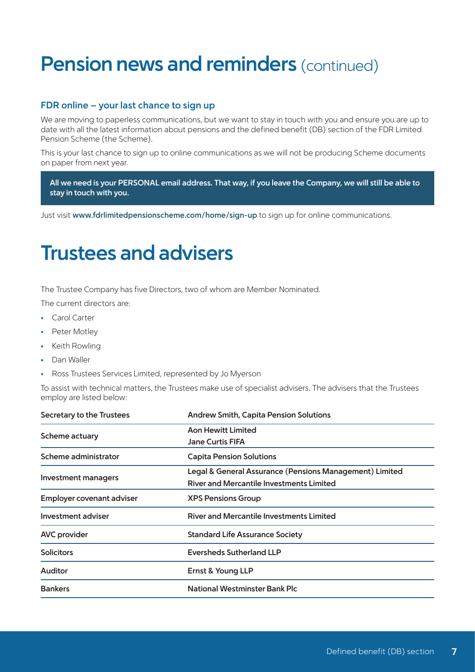# **Pension news and reminders (continued)**

## **FDR online – your last chance to sign up**

We are moving to paperless communications, but we want to stay in touch with you and ensure you are up to date with all the latest information about pensions and the defined benefit (DB) section of the FDR Limited Pension Scheme (the Scheme).

This is your last chance to sign up to online communications as we will not be producing Scheme documents on paper from next year.

**All we need is your PERSONAL email address. That way, if you leave the Company, we will still be able to stay in touch with you.**

Just visit **www.fdrlimitedpensionscheme.com/home/sign-up** to sign up for online communications.

# **Trustees and advisers**

The Trustee Company has five Directors, two of whom are Member Nominated.

The current directors are:

- Carol Carter
- Peter Motley
- Keith Rowling
- Dan Waller
- Ross Trustees Services Limited, represented by Jo Myerson

To assist with technical matters, the Trustees make use of specialist advisers. The advisers that the Trustees employ are listed below:

| Secretary to the Trustees | <b>Andrew Smith, Capita Pension Solutions</b>           |  |
|---------------------------|---------------------------------------------------------|--|
| Scheme actuary            | <b>Aon Hewitt Limited</b>                               |  |
|                           | <b>Jane Curtis FIFA</b>                                 |  |
| Scheme administrator      | <b>Capita Pension Solutions</b>                         |  |
| Investment managers       | Legal & General Assurance (Pensions Management) Limited |  |
|                           | <b>River and Mercantile Investments Limited</b>         |  |
| Employer covenant adviser | <b>XPS Pensions Group</b>                               |  |
| Investment adviser        | <b>River and Mercantile Investments Limited</b>         |  |
| <b>AVC</b> provider       | <b>Standard Life Assurance Society</b>                  |  |
| <b>Solicitors</b>         | <b>Eversheds Sutherland LLP</b>                         |  |
| <b>Auditor</b>            | Ernst & Young LLP                                       |  |
| <b>Bankers</b>            | National Westminster Bank Plc                           |  |